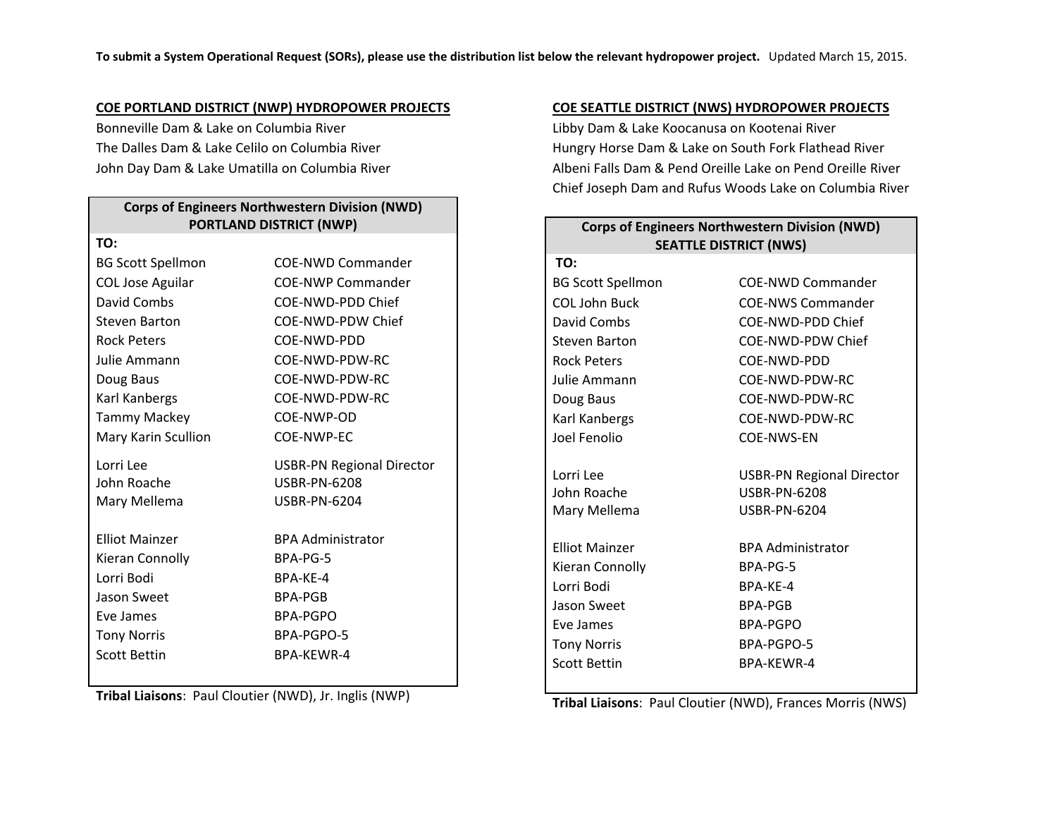#### **COE PORTLAND DISTRICT (NWP) HYDROPOWER PROJECTS**

Bonneville Dam & Lake on Columbia River The Dalles Dam & Lake Celilo on Columbia River John Day Dam & Lake Umatilla on Columbia River

# **Corps of Engineers Northwestern Division (NWD) PORTLAND DISTRICT (NWP)**

| TO:                      |                                  |
|--------------------------|----------------------------------|
| <b>BG Scott Spellmon</b> | <b>COE-NWD Commander</b>         |
| <b>COL Jose Aguilar</b>  | COF-NWP Commander                |
| David Combs              | COF-NWD-PDD Chief                |
| Steven Barton            | COF-NWD-PDW Chief                |
| <b>Rock Peters</b>       | COE-NWD-PDD                      |
| Julie Ammann             | COF-NWD-PDW-RC                   |
| Doug Baus                | COE-NWD-PDW-RC                   |
| Karl Kanbergs            | COE-NWD-PDW-RC                   |
| <b>Tammy Mackey</b>      | COE-NWP-OD                       |
| Mary Karin Scullion      | COF-NWP-FC                       |
| Lorri Lee                | <b>USBR-PN Regional Director</b> |
| John Roache              | <b>USBR-PN-6208</b>              |
| Mary Mellema             | <b>USBR-PN-6204</b>              |
| <b>Flliot Mainzer</b>    | <b>BPA Administrator</b>         |
| Kieran Connolly          | BPA-PG-5                         |
| Lorri Bodi               | BPA-KF-4                         |
| Jason Sweet              | <b>BPA-PGB</b>                   |
| Eve James                | <b>BPA-PGPO</b>                  |
| <b>Tony Norris</b>       | BPA-PGPO-5                       |
| <b>Scott Bettin</b>      | <b>BPA-KFWR-4</b>                |
|                          |                                  |

**Tribal Liaisons**: Paul Cloutier (NWD), Jr. Inglis (NWP)

### **COE SEATTLE DISTRICT (NWS) HYDROPOWER PROJECTS**

Libby Dam & Lake Koocanusa on Kootenai River Hungry Horse Dam & Lake on South Fork Flathead River Albeni Falls Dam & Pend Oreille Lake on Pend Oreille River Chief Joseph Dam and Rufus Woods Lake on Columbia River

| <b>Corps of Engineers Northwestern Division (NWD)</b><br><b>SEATTLE DISTRICT (NWS)</b> |                                  |  |
|----------------------------------------------------------------------------------------|----------------------------------|--|
| TO:                                                                                    |                                  |  |
| <b>BG Scott Spellmon</b>                                                               | COF-NWD Commander                |  |
| COL John Buck                                                                          | <b>COE-NWS Commander</b>         |  |
| David Combs                                                                            | COE-NWD-PDD Chief                |  |
| Steven Barton                                                                          | COF-NWD-PDW Chief                |  |
| <b>Rock Peters</b>                                                                     | COE-NWD-PDD                      |  |
| Julie Ammann                                                                           | COE-NWD-PDW-RC                   |  |
| Doug Baus                                                                              | COF-NWD-PDW-RC                   |  |
| Karl Kanbergs                                                                          | COF-NWD-PDW-RC                   |  |
| Joel Fenolio                                                                           | <b>COE-NWS-EN</b>                |  |
| Lorri Lee                                                                              | <b>USBR-PN Regional Director</b> |  |
| John Roache                                                                            | <b>USBR-PN-6208</b>              |  |
| Mary Mellema                                                                           | <b>USBR-PN-6204</b>              |  |
| <b>Filiot Mainzer</b>                                                                  | <b>BPA Administrator</b>         |  |
| Kieran Connolly                                                                        | BPA-PG-5                         |  |
| Lorri Bodi                                                                             | BPA-KF-4                         |  |
| Jason Sweet                                                                            | <b>BPA-PGB</b>                   |  |
| Eve James                                                                              | <b>BPA-PGPO</b>                  |  |
| <b>Tony Norris</b>                                                                     | BPA-PGPO-5                       |  |
| <b>Scott Bettin</b>                                                                    | <b>BPA-KFWR-4</b>                |  |
|                                                                                        |                                  |  |

**Tribal Liaisons**: Paul Cloutier (NWD), Frances Morris (NWS)